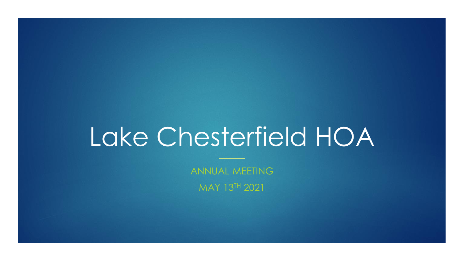# Lake Chesterfield HOA

ANNUAL MEETING MAY 13TH 2021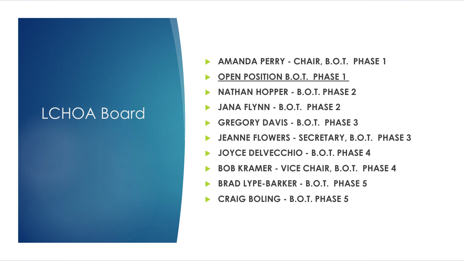## LCHOA Board

- **AMANDA PERRY - CHAIR, B.O.T. PHASE 1**
- **PEN POSITION B.O.T. PHASE 1**
- **NATHAN HOPPER - B.O.T. PHASE 2**
- **JANA FLYNN - B.O.T. PHASE 2**
- **GREGORY DAVIS - B.O.T. PHASE 3**
- **JEANNE FLOWERS - SECRETARY, B.O.T. PHASE 3**
- **JOYCE DELVECCHIO - B.O.T. PHASE 4**
- **BOB KRAMER - VICE CHAIR, B.O.T. PHASE 4**
- **BRAD LYPE-BARKER - B.O.T. PHASE 5**
- **CRAIG BOLING - B.O.T. PHASE 5**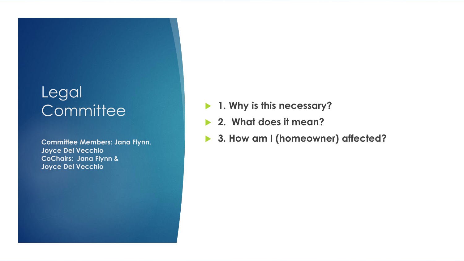### Legal **Committee**

**Committee Members: Jana Flynn, Joyce Del Vecchio CoChairs: Jana Flynn & Joyce Del Vecchio**

- **1. Why is this necessary?**
- **2. What does it mean?**
- **▶ 3. How am I (homeowner) affected?**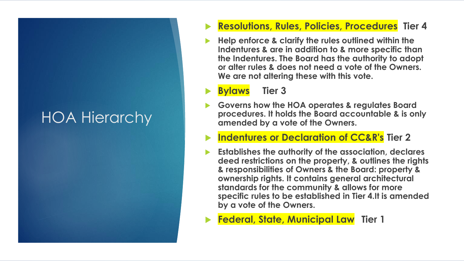## HOA Hierarchy

### **Resolutions, Rules, Policies, Procedures Tier 4**

 **Help enforce & clarify the rules outlined within the Indentures & are in addition to & more specific than the Indentures. The Board has the authority to adopt or alter rules & does not need a vote of the Owners. We are not altering these with this vote.**

**Bylaws Tier 3**

- **Governs how the HOA operates & regulates Board procedures. It holds the Board accountable & is only amended by a vote of the Owners.**
- **Indentures or Declaration of CC&R's Tier 2**
- **Establishes the authority of the association, declares deed restrictions on the property, & outlines the rights & responsibilities of Owners & the Board: property & ownership rights. It contains general architectural standards for the community & allows for more specific rules to be established in Tier 4.It is amended by a vote of the Owners.**

**Federal, State, Municipal Law Tier 1**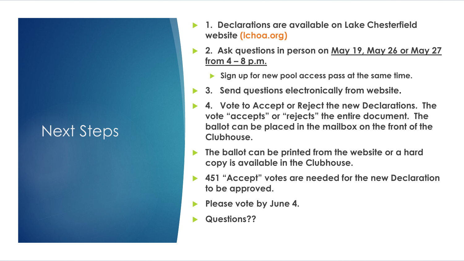### Next Steps

- **1. Declarations are available on Lake Chesterfield website (lchoa.org)**
- **2. Ask questions in person on May 19, May 26 or May 27 from 4 – 8 p.m.**
	- **Sign up for new pool access pass at the same time.**
- **3. Send questions electronically from website.**
- **4. Vote to Accept or Reject the new Declarations. The vote "accepts" or "rejects" the entire document. The ballot can be placed in the mailbox on the front of the Clubhouse.**
- **The ballot can be printed from the website or a hard copy is available in the Clubhouse.**
- **451 "Accept" votes are needed for the new Declaration to be approved.**
- **Please vote by June 4.**
- **Questions??**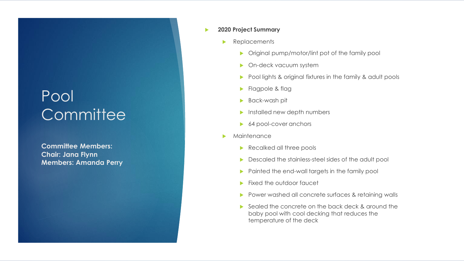### Pool Committee

**Committee Members: Chair: Jana Flynn Members: Amanda Perry**

### **2020 Project Summary**

- **Replacements** 
	- **Dimeshightary Company in Amazon Property** Original pump/motor/lint pot of the family pool
	- **D** On-deck vacuum system
	- Pool lights & original fixtures in the family & adult pools
	- **Flagpole & flag**
	- **Back-wash pit**
	- Installed new depth numbers
	- ▶ 64 pool-cover anchors
- **Maintenance** 
	- Recalked all three pools
	- Descaled the stainless-steel sides of the adult pool
	- Painted the end-wall targets in the family pool
	- Fixed the outdoor faucet
	- Power washed all concrete surfaces & retaining walls
	- Sealed the concrete on the back deck & around the baby pool with cool decking that reduces the temperature of the deck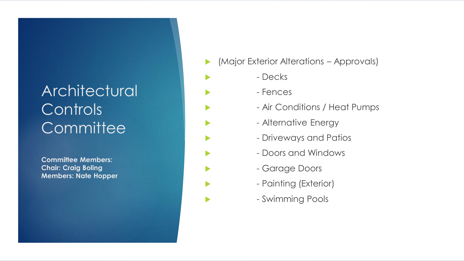## **Architectural Controls Committee**

**Committee Members: Chair: Craig Boling Members: Nate Hopper**

- (Major Exterior Alterations Approvals)
	- Decks
- Fences
	- Air Conditions / Heat Pumps
	- Alternative Energy
	- Driveways and Patios
	- Doors and Windows
	- Garage Doors
	- Painting (Exterior)
	- Swimming Pools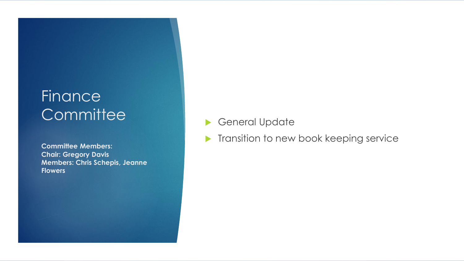## **Finance Committee**

**Committee Members: Chair: Gregory Davis Members: Chris Schepis, Jeanne Flowers**

General Update

**Transition to new book keeping service**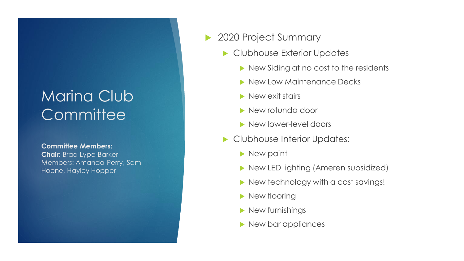## Marina Club **Committee**

### **Committee Members: Chair:** Brad Lype-Barker Members: Amanda Perry, Sam Hoene, Hayley Hopper

### ▶ 2020 Project Summary

- Clubhouse Exterior Updates
	- New Siding at no cost to the residents
	- New Low Maintenance Decks
	- New exit stairs
	- ▶ New rotunda door
	- New lower-level doors
- Clubhouse Interior Updates:
	- **New paint**
	- New LED lighting (Ameren subsidized)
	- New technology with a cost savings!
	- New flooring
	- New furnishings
	- New bar appliances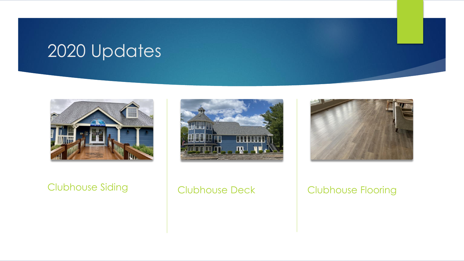## 2020 Updates



### Clubhouse Siding | Clubhouse Deck | Clubhouse Flooring



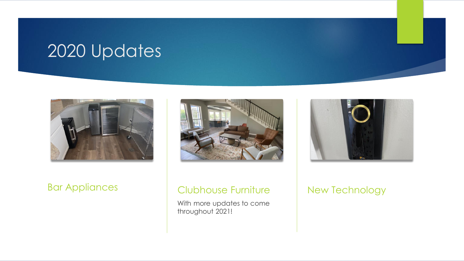## 2020 Updates





### Bar Appliances | Clubhouse Furniture

With more updates to come throughout 2021!



### New Technology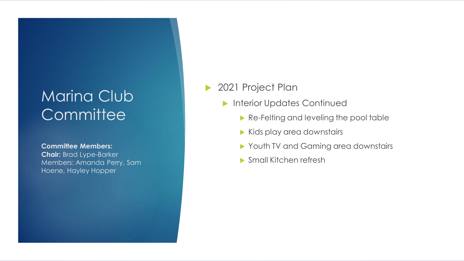## Marina Club **Committee**

**Committee Members: Chair:** Brad Lype -Barker Members: Amanda Perry, Sam Hoene, Hayley Hopper

### 2021 Project Plan

- **Interior Updates Continued** 
	- Re-Felting and leveling the pool table
	- Kids play area downstairs
	- Youth TV and Gaming area downstairs
	- ▶ Small Kitchen refresh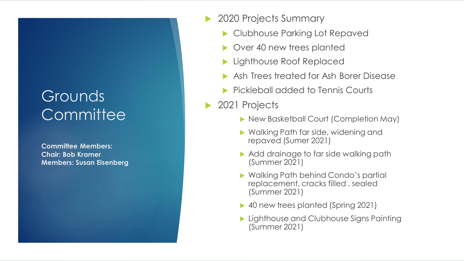## Grounds **Committee**

**Committee Members: Chair: Bob Kramer Members: Susan Eisenberg**

- ▶ 2020 Projects Summary
	- Clubhouse Parking Lot Repaved
	- ▶ Over 40 new trees planted
	- **Lighthouse Roof Replaced**
	- Ash Trees treated for Ash Borer Disease
	- **Pickleball added to Tennis Courts**
- ▶ 2021 Projects
	- ▶ New Basketball Court (Completion May)
	- ▶ Walking Path far side, widening and repaved (Sumer 2021)
	- Add drainage to far side walking path (Summer 2021)
	- ▶ Walking Path behind Condo's partial replacement, cracks filled , sealed (Summer 2021)
	- ▶ 40 new trees planted (Spring 2021)
	- **Lighthouse and Clubhouse Signs Painting** (Summer 2021)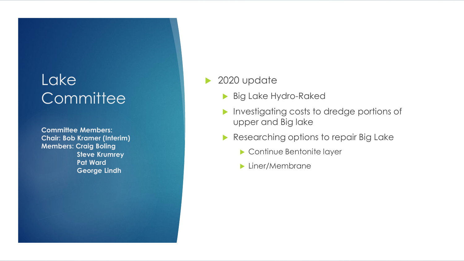## **Lake Committee**

**Committee Members: Chair: Bob Kramer (Interim) Members: Craig Boling Steve Krumrey Pat Ward George Lindh**

### ▶ 2020 update

- **Big Lake Hydro-Raked**
- **Investigating costs to dredge portions of** upper and Big lake
- Researching options to repair Big Lake
	- ▶ Continue Bentonite layer
	- **Liner/Membrane**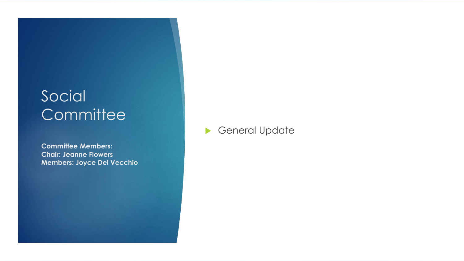## Social **Committee**

**Committee Members: Chair: Jeanne Flowers Members: Joyce Del Vecchio**

### General Update